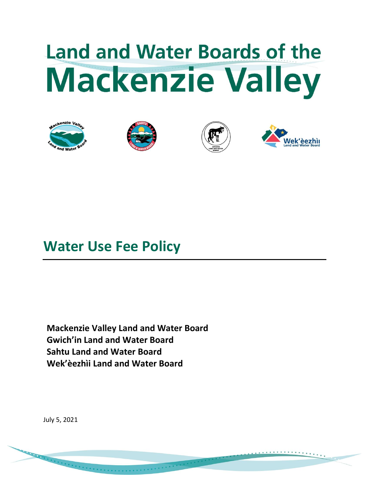# **Land and Water Boards of the Mackenzie Valley**









## **Water Use Fee Policy**

**Mackenzie Valley Land and Water Board Gwich'in Land and Water Board Sahtu Land and Water Board** Wek'èezhìi Land and Water Board

July 5, 2021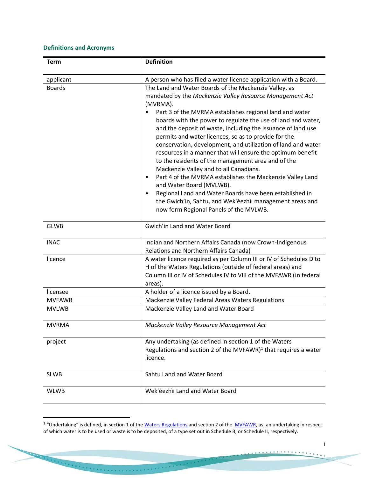### **Definitions and Acronyms**

| Term          | <b>Definition</b>                                                                                                                                                                                                                                                                                                                                                                                                                                                                                                                                                                                                                                                                                                                                                                                                                                                                                  |
|---------------|----------------------------------------------------------------------------------------------------------------------------------------------------------------------------------------------------------------------------------------------------------------------------------------------------------------------------------------------------------------------------------------------------------------------------------------------------------------------------------------------------------------------------------------------------------------------------------------------------------------------------------------------------------------------------------------------------------------------------------------------------------------------------------------------------------------------------------------------------------------------------------------------------|
| applicant     | A person who has filed a water licence application with a Board.                                                                                                                                                                                                                                                                                                                                                                                                                                                                                                                                                                                                                                                                                                                                                                                                                                   |
| <b>Boards</b> | The Land and Water Boards of the Mackenzie Valley, as<br>mandated by the Mackenzie Valley Resource Management Act<br>(MVRMA).<br>Part 3 of the MVRMA establishes regional land and water<br>boards with the power to regulate the use of land and water,<br>and the deposit of waste, including the issuance of land use<br>permits and water licences, so as to provide for the<br>conservation, development, and utilization of land and water<br>resources in a manner that will ensure the optimum benefit<br>to the residents of the management area and of the<br>Mackenzie Valley and to all Canadians.<br>Part 4 of the MVRMA establishes the Mackenzie Valley Land<br>$\bullet$<br>and Water Board (MVLWB).<br>Regional Land and Water Boards have been established in<br>$\bullet$<br>the Gwich'in, Sahtu, and Wek'èezhìi management areas and<br>now form Regional Panels of the MVLWB. |
| <b>GLWB</b>   | Gwich'in Land and Water Board                                                                                                                                                                                                                                                                                                                                                                                                                                                                                                                                                                                                                                                                                                                                                                                                                                                                      |
| <b>INAC</b>   | Indian and Northern Affairs Canada (now Crown-Indigenous<br>Relations and Northern Affairs Canada)                                                                                                                                                                                                                                                                                                                                                                                                                                                                                                                                                                                                                                                                                                                                                                                                 |
| licence       | A water licence required as per Column III or IV of Schedules D to<br>H of the Waters Regulations (outside of federal areas) and<br>Column III or IV of Schedules IV to VIII of the MVFAWR (in federal<br>areas).                                                                                                                                                                                                                                                                                                                                                                                                                                                                                                                                                                                                                                                                                  |
| licensee      | A holder of a licence issued by a Board.                                                                                                                                                                                                                                                                                                                                                                                                                                                                                                                                                                                                                                                                                                                                                                                                                                                           |
| <b>MVFAWR</b> | Mackenzie Valley Federal Areas Waters Regulations                                                                                                                                                                                                                                                                                                                                                                                                                                                                                                                                                                                                                                                                                                                                                                                                                                                  |
| <b>MVLWB</b>  | Mackenzie Valley Land and Water Board                                                                                                                                                                                                                                                                                                                                                                                                                                                                                                                                                                                                                                                                                                                                                                                                                                                              |
| <b>MVRMA</b>  | Mackenzie Valley Resource Management Act                                                                                                                                                                                                                                                                                                                                                                                                                                                                                                                                                                                                                                                                                                                                                                                                                                                           |
| project       | Any undertaking (as defined in section 1 of the Waters<br>Regulations and section 2 of the MVFAWR) <sup>1</sup> that requires a water<br>licence.                                                                                                                                                                                                                                                                                                                                                                                                                                                                                                                                                                                                                                                                                                                                                  |
| <b>SLWB</b>   | Sahtu Land and Water Board                                                                                                                                                                                                                                                                                                                                                                                                                                                                                                                                                                                                                                                                                                                                                                                                                                                                         |
| <b>WLWB</b>   | Wek'èezhìi Land and Water Board                                                                                                                                                                                                                                                                                                                                                                                                                                                                                                                                                                                                                                                                                                                                                                                                                                                                    |

<sup>&</sup>lt;sup>1</sup> "Undertaking" is defined, in section 1 of the <u>[Waters Regulations](https://mvlwb.com/sites/default/files/documents/TAB%207%20-%20Waters%20Regulations%20-%202014.pdf)</u> and section 2 of the [MVFAWR,](http://laws-lois.justice.gc.ca/PDF/SOR-93-303.pdf) as: an undertaking in respect of which water is to be used or waste is to be deposited, of a type set out in Schedule B, or Schedule II, respectively.

. . . . . . .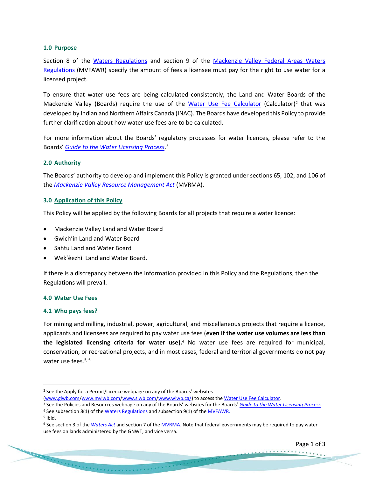#### **1.0 Purpose**

Section 8 of the [Waters Regulations](https://mvlwb.com/sites/default/files/documents/TAB%207%20-%20Waters%20Regulations%20-%202014.pdf) and section 9 of the [Mackenzie Valley Federal Areas Waters](http://laws-lois.justice.gc.ca/PDF/SOR-93-303.pdf)  [Regulations](http://laws-lois.justice.gc.ca/PDF/SOR-93-303.pdf) (MVFAWR) specify the amount of fees a licensee must pay for the right to use water for a licensed project.

To ensure that water use fees are being calculated consistently, the Land and Water Boards of the Mackenzie Valley (Boards) require the use of the *[Water Use Fee Calculator](https://glwb.com/sites/default/files/documents/Water%20Use%20Fees%20Calculator_%20V1.5.xls)* (Calculator)<sup>2</sup> that was developed by Indian and Northern Affairs Canada (INAC). The Boards have developed this Policy to provide further clarification about how water use fees are to be calculated.

For more information about the Boards' regulatory processes for water licences, please refer to the Boards' *[Guide to the Water Licensing Process](https://mvlwb.com/sites/default/files/2020-09/lwb_guide_to_the_water_licensing_process_-_final_-_sep_16_20.pdf)*. 3

#### **2.0 Authority**

The Boards' authority to develop and implement this Policy is granted under sections 65, 102, and 106 of the *[Mackenzie Valley Resource Management Act](http://laws-lois.justice.gc.ca/PDF/M-0.2.pdf)* (MVRMA).

#### **3.0 Application of this Policy**

This Policy will be applied by the following Boards for all projects that require a water licence:

- Mackenzie Valley Land and Water Board
- Gwich'in Land and Water Board
- Sahtu Land and Water Board
- Wek'èezhìi Land and Water Board.

If there is a discrepancy between the information provided in this Policy and the Regulations, then the Regulations will prevail.

#### **4.0 Water Use Fees**

#### **4.1 Who pays fees?**

For mining and milling, industrial, power, agricultural, and miscellaneous projects that require a licence, applicants and licensees are required to pay water use fees (**even if the water use volumes are less than the legislated licensing criteria for water use).**<sup>4</sup> No water use fees are required for municipal, conservation, or recreational projects, and in most cases, federal and territorial governments do not pay water use fees.<sup>5, 6</sup>

<sup>&</sup>lt;sup>2</sup> See the Apply for a Permit/Licence webpage on any of the Boards' websites

[<sup>\(</sup>www.glwb.com](http://www.glwb.com/)[/www.mvlwb.com/](https://mvlwb.com/)[www.slwb.com](http://www.slwb.com/)[/www.wlwb.ca/\)](https://wlwb.ca/) to access the [Water Use Fee Calculator.](https://glwb.com/sites/default/files/documents/Water%20Use%20Fees%20Calculator_%20V1.5.xls)

<sup>3</sup> See the Policies and Resources webpage on any of the Boards' websites for the Boards' *[Guide to the Water Licensing Process](https://mvlwb.com/sites/default/files/2020-09/lwb_guide_to_the_water_licensing_process_-_final_-_sep_16_20.pdf)*.

<sup>&</sup>lt;sup>4</sup> See subsection 8(1) of the [Waters Regulations](https://mvlwb.com/sites/default/files/documents/TAB%207%20-%20Waters%20Regulations%20-%202014.pdf) and subsection 9(1) of the [MVFAWR.](http://laws-lois.justice.gc.ca/PDF/SOR-93-303.pdf)

<sup>5</sup> Ibid.

<sup>6</sup> See section 3 of the *[Waters Act](https://www.justice.gov.nt.ca/en/files/legislation/waters/waters.a.pdf)* and section 7 of the [MVRMA.](http://laws-lois.justice.gc.ca/PDF/M-0.2.pdf) Note that federal governments may be required to pay water use fees on lands administered by the GNWT, and vice versa.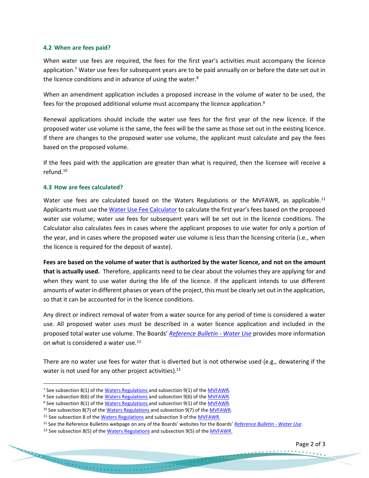#### **4.2 When are fees paid?**

When water use fees are required, the fees for the first year's activities must accompany the licence application.<sup>7</sup> Water use fees for subsequent years are to be paid annually on or before the date set out in the licence conditions and in advance of using the water.<sup>8</sup>

When an amendment application includes a proposed increase in the volume of water to be used, the fees for the proposed additional volume must accompany the licence application. $9$ 

Renewal applications should include the water use fees for the first year of the new licence. If the proposed water use volume is the same, the fees will be the same as those set out in the existing licence. If there are changes to the proposed water use volume, the applicant must calculate and pay the fees based on the proposed volume.

If the fees paid with the application are greater than what is required, then the licensee will receive a refund.<sup>10</sup>

#### **4.3 How are fees calculated?**

Water use fees are calculated based on the Waters Regulations or the MVFAWR, as applicable.<sup>11</sup> Applicants must use the [Water Use Fee Calculator](https://glwb.com/sites/default/files/documents/Water%20Use%20Fees%20Calculator_%20V1.5.xls) to calculate the first year's fees based on the proposed water use volume; water use fees for subsequent years will be set out in the licence conditions. The Calculator also calculates fees in cases where the applicant proposes to use water for only a portion of the year, and in cases where the proposed water use volume is less than the licensing criteria (i.e., when the licence is required for the deposit of waste).

**Fees are based on the volume of water that is authorized by the water licence, and not on the amount that is actually used.** Therefore, applicants need to be clear about the volumes they are applying for and when they want to use water during the life of the licence. If the applicant intends to use different amounts of water in different phases or years of the project, this must be clearly set out in the application, so that it can be accounted for in the licence conditions.

Any direct or indirect removal of water from a water source for any period of time is considered a water use. All proposed water uses must be described in a water licence application and included in the proposed total water use volume. The Boards' *[Reference Bulletin](https://glwb.com/sites/default/files/lwb_reference_bulletin_-_water_use_-_jun_11_20.pdf) - Water Use* provides more information on what is considered a water use.<sup>12</sup>

There are no water use fees for water that is diverted but is not otherwise used (e.g., dewatering if the water is not used for any other project activities).<sup>13</sup>

<sup>7</sup> See subsection 8(1) of the [Waters Regulations](https://mvlwb.com/sites/default/files/documents/TAB%207%20-%20Waters%20Regulations%20-%202014.pdf) and subsection 9(1) of the [MVFAWR](http://laws-lois.justice.gc.ca/PDF/SOR-93-303.pdf)*.*

<sup>8</sup> See subsection 8(6) of the [Waters Regulations](https://mvlwb.com/sites/default/files/documents/TAB%207%20-%20Waters%20Regulations%20-%202014.pdf) and subsection 9(6) of the [MVFAWR](http://laws-lois.justice.gc.ca/PDF/SOR-93-303.pdf)*.*

<sup>9</sup> See subsection 8(1) of the [Waters Regulations](https://mvlwb.com/sites/default/files/documents/TAB%207%20-%20Waters%20Regulations%20-%202014.pdf) and subsection 9(1) of the [MVFAWR](http://laws-lois.justice.gc.ca/PDF/SOR-93-303.pdf)*.*

<sup>10</sup> See subsection 8(7) of the [Waters Regulations](https://mvlwb.com/sites/default/files/documents/TAB%207%20-%20Waters%20Regulations%20-%202014.pdf) and subsection 9(7) of the [MVFAWR](http://laws-lois.justice.gc.ca/PDF/SOR-93-303.pdf)*.*

<sup>&</sup>lt;sup>11</sup> See subsection 8 of th[e Waters Regulations](https://mvlwb.com/sites/default/files/documents/TAB%207%20-%20Waters%20Regulations%20-%202014.pdf) and subsection 9 of th[e MVFAWR.](http://laws-lois.justice.gc.ca/PDF/SOR-93-303.pdf)

<sup>12</sup> See the Reference Bulletins webpage on any of the Boards' websites for the Boards' *[Reference Bulletin -](https://glwb.com/sites/default/files/lwb_reference_bulletin_-_water_use_-_jun_11_20.pdf) Water Use*.

<sup>&</sup>lt;sup>13</sup> See subsection 8(5) of th[e Waters Regulations](https://mvlwb.com/sites/default/files/documents/TAB%207%20-%20Waters%20Regulations%20-%202014.pdf) and subsection 9(5) of th[e MVFAWR.](http://laws-lois.justice.gc.ca/PDF/SOR-93-303.pdf)